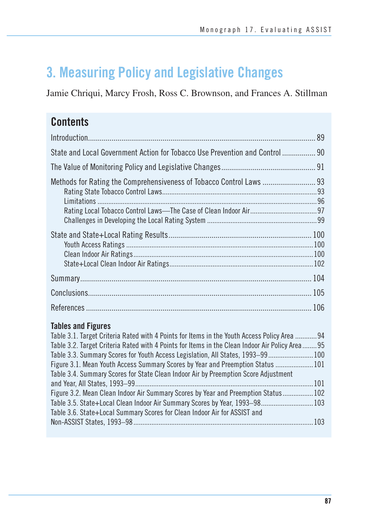# **3. Measuring Policy and Legislative Changes**

Jamie Chriqui, Marcy Frosh, Ross C. Brownson, and Frances A. Stillman

## **Contents**

| State and Local Government Action for Tobacco Use Prevention and Control  90 |     |
|------------------------------------------------------------------------------|-----|
|                                                                              |     |
| Methods for Rating the Comprehensiveness of Tobacco Control Laws  93         |     |
|                                                                              |     |
|                                                                              |     |
|                                                                              |     |
|                                                                              |     |
|                                                                              | 106 |

## **Tables and Figures**

| Table 3.1. Target Criteria Rated with 4 Points for Items in the Youth Access Policy Area  94    |  |
|-------------------------------------------------------------------------------------------------|--|
| Table 3.2. Target Criteria Rated with 4 Points for Items in the Clean Indoor Air Policy Area 95 |  |
| Table 3.3. Summary Scores for Youth Access Legislation, All States, 1993–99 100                 |  |
| Figure 3.1. Mean Youth Access Summary Scores by Year and Preemption Status  101                 |  |
| Table 3.4. Summary Scores for State Clean Indoor Air by Preemption Score Adjustment             |  |
|                                                                                                 |  |
| Figure 3.2. Mean Clean Indoor Air Summary Scores by Year and Preemption Status 102              |  |
| Table 3.5. State+Local Clean Indoor Air Summary Scores by Year, 1993–98 103                     |  |
| Table 3.6. State+Local Summary Scores for Clean Indoor Air for ASSIST and                       |  |
|                                                                                                 |  |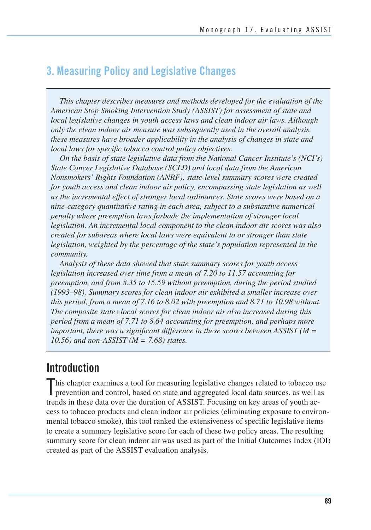## **3. Measuring Policy and Legislative Changes**

*This chapter describes measures and methods developed for the evaluation of the American Stop Smoking Intervention Study (ASSIST) for assessment of state and local legislative changes in youth access laws and clean indoor air laws. Although only the clean indoor air measure was subsequently used in the overall analysis, these measures have broader applicability in the analysis of changes in state and local laws for specific tobacco control policy objectives.* 

*On the basis of state legislative data from the National Cancer Institute's (NCI's) State Cancer Legislative Database (SCLD) and local data from the American Nonsmokers' Rights Foundation (ANRF), state-level summary scores were created for youth access and clean indoor air policy, encompassing state legislation as well as the incremental effect of stronger local ordinances. State scores were based on a nine-category quantitative rating in each area, subject to a substantive numerical penalty where preemption laws forbade the implementation of stronger local legislation. An incremental local component to the clean indoor air scores was also created for subareas where local laws were equivalent to or stronger than state legislation, weighted by the percentage of the state's population represented in the community.* 

*Analysis of these data showed that state summary scores for youth access legislation increased over time from a mean of 7.20 to 11.57 accounting for preemption, and from 8.35 to 15.59 without preemption, during the period studied (1993–98). Summary scores for clean indoor air exhibited a smaller increase over this period, from a mean of 7.16 to 8.02 with preemption and 8.71 to 10.98 without. The composite state+local scores for clean indoor air also increased during this period from a mean of 7.71 to 8.64 accounting for preemption, and perhaps more important, there was a significant difference in these scores between ASSIST (M = 10.56) and non-ASSIST (M = 7.68) states.* 

## **Introduction**

This chapter examines a tool for measuring legislative changes related to tobacco use prevention and control, based on state and aggregated local data sources, as well as prevention and control, based on state and aggregated local data sources, as well as trends in these data over the duration of ASSIST. Focusing on key areas of youth access to tobacco products and clean indoor air policies (eliminating exposure to environmental tobacco smoke), this tool ranked the extensiveness of specific legislative items to create a summary legislative score for each of these two policy areas. The resulting summary score for clean indoor air was used as part of the Initial Outcomes Index (IOI) created as part of the ASSIST evaluation analysis.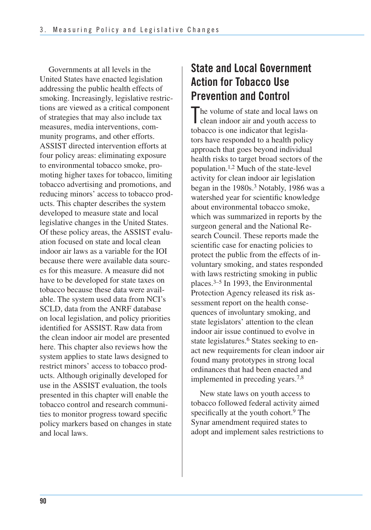Governments at all levels in the United States have enacted legislation addressing the public health effects of smoking. Increasingly, legislative restrictions are viewed as a critical component of strategies that may also include tax measures, media interventions, community programs, and other efforts. ASSIST directed intervention efforts at four policy areas: eliminating exposure to environmental tobacco smoke, promoting higher taxes for tobacco, limiting tobacco advertising and promotions, and reducing minors' access to tobacco products. This chapter describes the system developed to measure state and local legislative changes in the United States. Of these policy areas, the ASSIST evaluation focused on state and local clean indoor air laws as a variable for the IOI because there were available data sources for this measure. A measure did not have to be developed for state taxes on tobacco because these data were available. The system used data from NCI's SCLD, data from the ANRF database on local legislation, and policy priorities identified for ASSIST. Raw data from the clean indoor air model are presented here. This chapter also reviews how the system applies to state laws designed to restrict minors' access to tobacco products. Although originally developed for use in the ASSIST evaluation, the tools presented in this chapter will enable the tobacco control and research communities to monitor progress toward specific policy markers based on changes in state and local laws.

## **State and Local Government Action for Tobacco Use Prevention and Control**

The volume of state and local laws on<br>clean indoor air and youth access to clean indoor air and youth access to tobacco is one indicator that legislators have responded to a health policy approach that goes beyond individual health risks to target broad sectors of the population.1,2 Much of the state-level activity for clean indoor air legislation began in the 1980s.3 Notably, 1986 was a watershed year for scientific knowledge about environmental tobacco smoke, which was summarized in reports by the surgeon general and the National Research Council. These reports made the scientific case for enacting policies to protect the public from the effects of involuntary smoking, and states responded with laws restricting smoking in public places.3–5 In 1993, the Environmental Protection Agency released its risk assessment report on the health consequences of involuntary smoking, and state legislators' attention to the clean indoor air issue continued to evolve in state legislatures.<sup>6</sup> States seeking to enact new requirements for clean indoor air found many prototypes in strong local ordinances that had been enacted and implemented in preceding years.7,8

New state laws on youth access to tobacco followed federal activity aimed specifically at the youth cohort.<sup>9</sup> The Synar amendment required states to adopt and implement sales restrictions to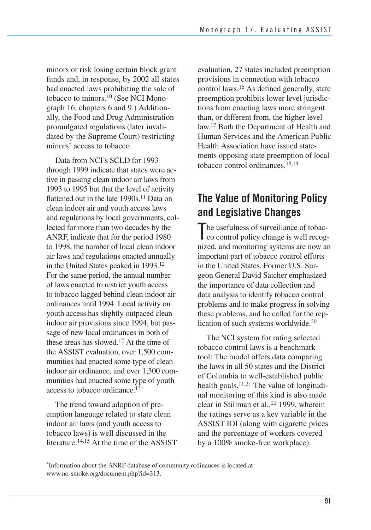minors or risk losing certain block grant funds and, in response, by 2002 all states had enacted laws prohibiting the sale of tobacco to minors.10 (See NCI Monograph 16, chapters 6 and 9.) Additionally, the Food and Drug Administration promulgated regulations (later invalidated by the Supreme Court) restricting minors' access to tobacco.

 Data from NCI's SCLD for 1993 through 1999 indicate that states were ac- tive in passing clean indoor air laws from 1993 to 1995 but that the level of activity flattened out in the late 1990s.<sup>11</sup> Data on clean indoor air and youth access laws and regulations by local governments, col- lected for more than two decades by the ANRF, indicate that for the period 1980 to 1998, the number of local clean indoor air laws and regulations enacted annually in the United States peaked in 1993.12 For the same period, the annual number of laws enacted to restrict youth access to tobacco lagged behind clean indoor air ordinances until 1994. Local activity on youth access has slightly outpaced clean indoor air provisions since 1994, but pas- sage of new local ordinances in both of these areas has slowed.12 At the time of the ASSIST evaluation, over 1,500 com- munities had enacted some type of clean indoor air ordinance, and over 1,300 com- munities had enacted some type of youth access to tobacco ordinance.<sup>13\*</sup>

 The trend toward adoption of pre- emption language related to state clean indoor air laws (and youth access to tobacco laws) is well discussed in the literature.14,15 At the time of the ASSIST  evaluation, 27 states included preemption provisions in connection with tobacco control laws.<sup>16</sup> As defined generally, state preemption prohibits lower level jurisdic- tions from enacting laws more stringent than, or different from, the higher level law.17 Both the Department of Health and Human Services and the American Public Health Association have issued state- ments opposing state preemption of local tobacco control ordinances.<sup>18,19</sup>

## **The Value of Monitoring Policy and Legislative Changes**

The usefulness of surveillance of tobac<br>co control policy change is well recog co control policy change is well recog- nized, and monitoring systems are now an important part of tobacco control efforts in the United States. Former U.S. Sur- geon General David Satcher emphasized the importance of data collection and data analysis to identify tobacco control problems and to make progress in solving these problems, and he called for the replication of such systems worldwide.<sup>20</sup>

The NCI system for rating selected tobacco control laws is a benchmark tool: The model offers data comparing the laws in all 50 states and the District of Columbia to well-established public health goals. $11,21$  The value of longitudinal monitoring of this kind is also made clear in Stillman et al.,<sup>22</sup> 1999, wherein the ratings serve as a key variable in the ASSIST IOI (along with cigarette prices and the percentage of workers covered by a 100% smoke-free workplace).

Information about the ANRF database of community ordinances is located at www.no-smoke.org/document.php?id=313.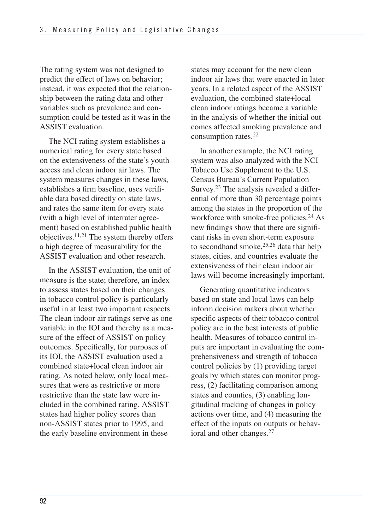The rating system was not designed to predict the effect of laws on behavior; instead, it was expected that the relationship between the rating data and other variables such as prevalence and consumption could be tested as it was in the ASSIST evaluation.

The NCI rating system establishes a numerical rating for every state based on the extensiveness of the state's youth access and clean indoor air laws. The system measures changes in these laws, establishes a firm baseline, uses verifiable data based directly on state laws, and rates the same item for every state (with a high level of interrater agreement) based on established public health objectives.11,21 The system thereby offers a high degree of measurability for the ASSIST evaluation and other research.

 In the ASSIST evaluation, the unit of measure is the state; therefore, an index to assess states based on their changes in tobacco control policy is particularly useful in at least two important respects. The clean indoor air ratings serve as one variable in the IOI and thereby as a mea- sure of the effect of ASSIST on policy outcomes. Specifically, for purposes of its IOI, the ASSIST evaluation used a combined state+local clean indoor air rating. As noted below, only local mea- sures that were as restrictive or more restrictive than the state law were in- cluded in the combined rating. ASSIST states had higher policy scores than non-ASSIST states prior to 1995, and the early baseline environment in these

 states may account for the new clean indoor air laws that were enacted in later years. In a related aspect of the ASSIST evaluation, the combined state+local clean indoor ratings became a variable in the analysis of whether the initial out- comes affected smoking prevalence and consumption rates.22

In another example, the NCI rating system was also analyzed with the NCI Tobacco Use Supplement to the U.S. Census Bureau's Current Population Survey.23 The analysis revealed a differential of more than 30 percentage points among the states in the proportion of the workforce with smoke-free policies.<sup>24</sup> As new findings show that there are significant risks in even short-term exposure to secondhand smoke, $25,26$  data that help states, cities, and countries evaluate the extensiveness of their clean indoor air laws will become increasingly important.

Generating quantitative indicators based on state and local laws can help inform decision makers about whether specific aspects of their tobacco control policy are in the best interests of public health. Measures of tobacco control inputs are important in evaluating the comprehensiveness and strength of tobacco control policies by (1) providing target goals by which states can monitor progress, (2) facilitating comparison among states and counties, (3) enabling longitudinal tracking of changes in policy actions over time, and (4) measuring the effect of the inputs on outputs or behavioral and other changes.27

**92**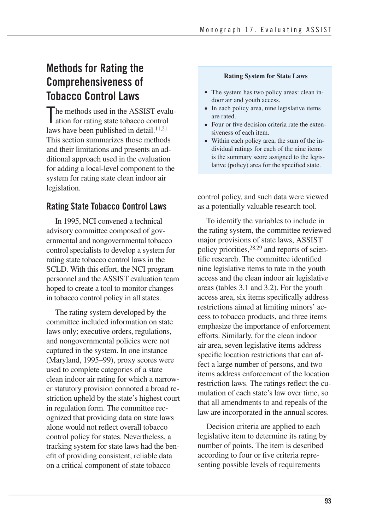## **Methods for Rating the Comprehensiveness of Tobacco Control Laws**

 he methods used in the ASSIST evalu-The methods used in the ASSIST evaluation for rating state tobacco control laws have been published in detail.<sup>11,21</sup> This section summarizes those methods and their limitations and presents an ad- ditional approach used in the evaluation for adding a local-level component to the system for rating state clean indoor air legislation.

### **Rating State Tobacco Control Laws**

 In 1995, NCI convened a technical advisory committee composed of gov- ernmental and nongovernmental tobacco control specialists to develop a system for rating state tobacco control laws in the SCLD. With this effort, the NCI program personnel and the ASSIST evaluation team hoped to create a tool to monitor changes in tobacco control policy in all states.

 The rating system developed by the committee included information on state laws only; executive orders, regulations, and nongovernmental policies were not captured in the system. In one instance (Maryland, 1995–99), proxy scores were used to complete categories of a state clean indoor air rating for which a narrow- er statutory provision connoted a broad re- striction upheld by the state's highest court in regulation form. The committee rec- ognized that providing data on state laws alone would not reflect overall tobacco control policy for states. Nevertheless, a tracking system for state laws had the ben- efit of providing consistent, reliable data on a critical component of state tobacco

### **Rating System for State Laws**

- The system has two policy areas: clean indoor air and youth access.
- In each policy area, nine legislative items are rated.
- Four or five decision criteria rate the extensiveness of each item.
- ■ Within each policy area, the sum of the individual ratings for each of the nine items is the summary score assigned to the legislative (policy) area for the specified state.

 control policy, and such data were viewed as a potentially valuable research tool.

 To identify the variables to include in the rating system, the committee reviewed major provisions of state laws, ASSIST policy priorities, <sup>28,29</sup> and reports of scien- tific research. The committee identified nine legislative items to rate in the youth access and the clean indoor air legislative areas (tables 3.1 and 3.2). For the youth access area, six items specifically address restrictions aimed at limiting minors' ac- cess to tobacco products, and three items emphasize the importance of enforcement efforts. Similarly, for the clean indoor air area, seven legislative items address specific location restrictions that can af fect a large number of persons, and two items address enforcement of the location restriction laws. The ratings reflect the cu- mulation of each state's law over time, so that all amendments to and repeals of the law are incorporated in the annual scores.

 Decision criteria are applied to each legislative item to determine its rating by number of points. The item is described according to four or five criteria repre-senting possible levels of requirements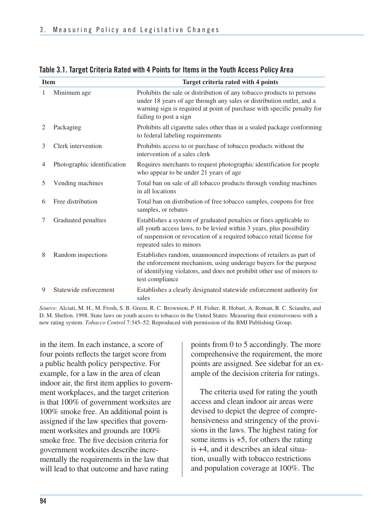| <b>Item</b>    |                             | Target criteria rated with 4 points                                                                                                                                                                                                                 |
|----------------|-----------------------------|-----------------------------------------------------------------------------------------------------------------------------------------------------------------------------------------------------------------------------------------------------|
| 1              | Minimum age                 | Prohibits the sale or distribution of any tobacco products to persons<br>under 18 years of age through any sales or distribution outlet, and a<br>warning sign is required at point of purchase with specific penalty for<br>failing to post a sign |
| 2              | Packaging                   | Prohibits all cigarette sales other than in a sealed package conforming<br>to federal labeling requirements                                                                                                                                         |
| 3              | Clerk intervention          | Prohibits access to or purchase of tobacco products without the<br>intervention of a sales clerk                                                                                                                                                    |
| $\overline{4}$ | Photographic identification | Requires merchants to request photographic identification for people<br>who appear to be under 21 years of age.                                                                                                                                     |
| 5              | Vending machines            | Total ban on sale of all tobacco products through vending machines<br>in all locations                                                                                                                                                              |
| 6              | Free distribution           | Total ban on distribution of free tobacco samples, coupons for free<br>samples, or rebates                                                                                                                                                          |
| 7              | Graduated penalties         | Establishes a system of graduated penalties or fines applicable to<br>all youth access laws, to be levied within 3 years, plus possibility<br>of suspension or revocation of a required tobacco retail license for<br>repeated sales to minors      |
| 8              | Random inspections          | Establishes random, unannounced inspections of retailers as part of<br>the enforcement mechanism, using underage buyers for the purpose<br>of identifying violators, and does not prohibit other use of minors to<br>test compliance                |
| 9              | Statewide enforcement       | Establishes a clearly designated statewide enforcement authority for<br>sales                                                                                                                                                                       |

### **Table 3.1. Target Criteria Rated with 4 Points for Items in the Youth Access Policy Area**

*Source:* Alciati, M. H., M. Frosh, S. B. Green, R. C. Brownson, P. H. Fisher, R. Hobart, A. Roman, R. C. Sciandra, and D. M. Shelton. 1998. State laws on youth access to tobacco in the United States: Measuring their extensiveness with a new rating system. *Tobacco Control* 7:345–52. Reproduced with permission of the BMJ Publishing Group.

 in the item. In each instance, a score of four points reflects the target score from a public health policy perspective. For example, for a law in the area of clean indoor air, the first item applies to govern- ment workplaces, and the target criterion is that 100% of government worksites are 100% smoke free. An additional point is assigned if the law specifies that govern- ment worksites and grounds are 100% smoke free. The five decision criteria for government worksites describe incre- mentally the requirements in the law that will lead to that outcome and have rating

 points from 0 to 5 accordingly. The more comprehensive the requirement, the more points are assigned. See sidebar for an ex-ample of the decision criteria for ratings.

 The criteria used for rating the youth access and clean indoor air areas were devised to depict the degree of compre- hensiveness and stringency of the provi- sions in the laws. The highest rating for some items is  $+5$ , for others the rating is +4, and it describes an ideal situa- tion, usually with tobacco restrictions and population coverage at 100%. The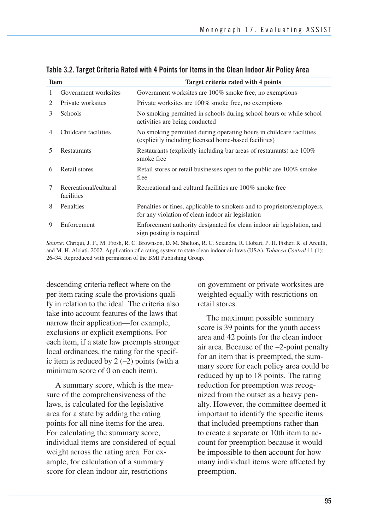| <b>Item</b> |                                     | Target criteria rated with 4 points                                                                                          |
|-------------|-------------------------------------|------------------------------------------------------------------------------------------------------------------------------|
| 1           | Government worksites                | Government worksites are 100% smoke free, no exemptions                                                                      |
| 2           | Private worksites                   | Private worksites are 100% smoke free, no exemptions                                                                         |
| 3           | Schools                             | No smoking permitted in schools during school hours or while school<br>activities are being conducted                        |
| 4           | Childcare facilities                | No smoking permitted during operating hours in childcare facilities<br>(explicitly including licensed home-based facilities) |
| 5           | <b>Restaurants</b>                  | Restaurants (explicitly including bar areas of restaurants) are 100%<br>smoke free                                           |
| 6           | Retail stores                       | Retail stores or retail businesses open to the public are 100% smoke<br>free                                                 |
| 7           | Recreational/cultural<br>facilities | Recreational and cultural facilities are 100% smoke free                                                                     |
| 8           | Penalties                           | Penalties or fines, applicable to smokers and to proprietors/employers,<br>for any violation of clean indoor air legislation |
| 9           | Enforcement                         | Enforcement authority designated for clean indoor air legislation, and<br>sign posting is required.                          |

**Table 3.2. Target Criteria Rated with 4 Points for Items in the Clean Indoor Air Policy Area** 

*Source:* Chriqui, J. F., M. Frosh, R. C. Brownson, D. M. Shelton, R. C. Sciandra, R. Hobart, P. H. Fisher, R. el Arculli, and M. H. Alciati. 2002. Application of a rating system to state clean indoor air laws (USA). *Tobacco Control* 11 (1): 26–34. Reproduced with permission of the BMJ Publishing Group.

 descending criteria reflect where on the per-item rating scale the provisions quali- fy in relation to the ideal. The criteria also take into account features of the laws that narrow their application—for example, exclusions or explicit exemptions. For each item, if a state law preempts stronger local ordinances, the rating for the specific item is reduced by  $2$  (-2) points (with a minimum score of 0 on each item).

A summary score, which is the measure of the comprehensiveness of the laws, is calculated for the legislative area for a state by adding the rating points for all nine items for the area. For calculating the summary score, individual items are considered of equal weight across the rating area. For example, for calculation of a summary score for clean indoor air, restrictions

on government or private worksites are weighted equally with restrictions on retail stores.

The maximum possible summary score is 39 points for the youth access area and 42 points for the clean indoor air area. Because of the –2-point penalty for an item that is preempted, the summary score for each policy area could be reduced by up to 18 points. The rating reduction for preemption was recognized from the outset as a heavy penalty. However, the committee deemed it important to identify the specific items that included preemptions rather than to create a separate or 10th item to account for preemption because it would be impossible to then account for how many individual items were affected by preemption.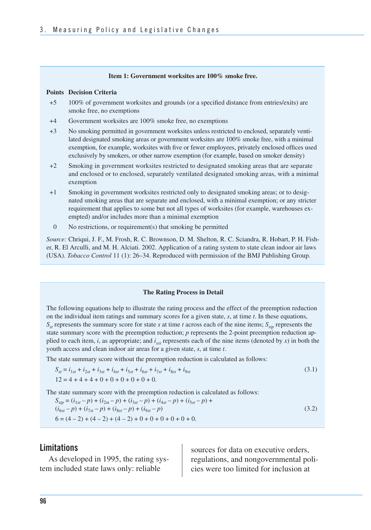#### **Item 1: Government worksites are 100% smoke free.**

#### **Points Decision Criteria**

- +5 100% of government worksites and grounds (or a specified distance from entries/exits) are smoke free, no exemptions
- +4 Government worksites are 100% smoke free, no exemptions
- lated designated smoking areas or government worksites are 100% smoke free, with a minimal exemption, for example, worksites with five or fewer employees, privately enclosed offices used exclusively by smokers, or other narrow exemption (for example, based on smoker density) +3 No smoking permitted in government worksites unless restricted to enclosed, separately venti-
- and enclosed or to enclosed, separately ventilated designated smoking areas, with a minimal +2 Smoking in government worksites restricted to designated smoking areas that are separate exemption
- +1 Smoking in government worksites restricted only to designated smoking areas; or to designated smoking areas that are separate and enclosed, with a minimal exemption; or any stricter requirement that applies to some but not all types of worksites (for example, warehouses exempted) and/or includes more than a minimal exemption
- 0 No restrictions, or requirement(s) that smoking be permitted

*Source:* Chriqui, J. F., M. Frosh, R. C. Brownson, D. M. Shelton, R. C. Sciandra, R. Hobart, P. H. Fisher, R. El Arculli, and M. H. Alciati. 2002. Application of a rating system to state clean indoor air laws (USA). *Tobacco Control* 11 (1): 26–34. Reproduced with permission of the BMJ Publishing Group.

#### **The Rating Process in Detail**

The following equations help to illustrate the rating process and the effect of the preemption reduction on the individual item ratings and summary scores for a given state, *s*, at time *t*. In these equations,  $S_{st}$  represents the summary score for state *s* at time *t* across each of the nine items;  $S_{stp}$  represents the state summary score with the preemption reduction; *p* represents the 2-point preemption reduction applied to each item, *i*, as appropriate; and  $i_{xx}$  represents each of the nine items (denoted by *x*) in both the youth access and clean indoor air areas for a given state, *s*, at time *t*.

The state summary score without the preemption reduction is calculated as follows:

$$
S_{st} = i_{1st} + i_{2st} + i_{3st} + i_{4st} + i_{5st} + i_{6st} + i_{7st} + i_{8st} + i_{9st}
$$
  
\n
$$
12 = 4 + 4 + 4 + 0 + 0 + 0 + 0 + 0 + 0 + 0.
$$
\n(3.1)

The state summary score with the preemption reduction is calculated as follows:

$$
S_{sp} = (i_{1st} - p) + (i_{2st} - p) + (i_{3st} - p) + (i_{4st} - p) + (i_{5st} - p) + (i_{6st} - p) + (i_{7st} - p) + (i_{8st} - p) + (i_{9st} - p)
$$
  
\n
$$
6 = (4 - 2) + (4 - 2) + (4 - 2) + 0 + 0 + 0 + 0 + 0 + 0.
$$
\n(3.2)

tem included state laws only: reliable cies were too limited for inclusion at

**Limitations** and **Limitations** and **Limitations** and **Sources** for data on executive orders, As developed in 1995, the rating sys-<br>regulations, and nongovernmental poli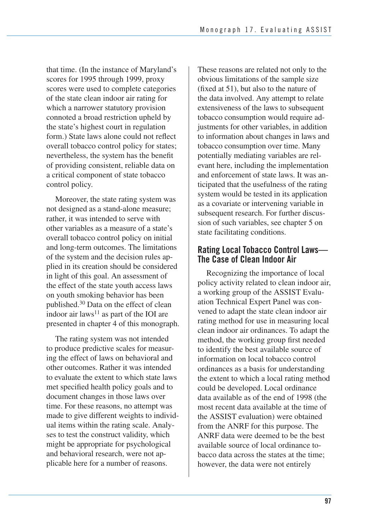that time. (In the instance of Maryland's scores for 1995 through 1999, proxy scores were used to complete categories of the state clean indoor air rating for which a narrower statutory provision connoted a broad restriction upheld by the state's highest court in regulation form.) State laws alone could not reflect overall tobacco control policy for states; nevertheless, the system has the benefit of providing consistent, reliable data on a critical component of state tobacco control policy.

 Moreover, the state rating system was not designed as a stand-alone measure; rather, it was intended to serve with other variables as a measure of a state's overall tobacco control policy on initial and long-term outcomes. The limitations of the system and the decision rules ap- plied in its creation should be considered in light of this goal. An assessment of the effect of the state youth access laws on youth smoking behavior has been published.30 Data on the effect of clean indoor air laws<sup>11</sup> as part of the IOI are presented in chapter 4 of this monograph.

 The rating system was not intended to produce predictive scales for measur- ing the effect of laws on behavioral and other outcomes. Rather it was intended to evaluate the extent to which state laws met specified health policy goals and to document changes in those laws over time. For these reasons, no attempt was made to give different weights to individ- ual items within the rating scale. Analy- might be appropriate for psychological and behavioral research, were not ap- plicable here for a number of reasons. ses to test the construct validity, which

 These reasons are related not only to the obvious limitations of the sample size (fixed at 51), but also to the nature of the data involved. Any attempt to relate extensiveness of the laws to subsequent tobacco consumption would require ad- justments for other variables, in addition to information about changes in laws and tobacco consumption over time. Many potentially mediating variables are rel evant here, including the implementation and enforcement of state laws. It was an- ticipated that the usefulness of the rating system would be tested in its application as a covariate or intervening variable in subsequent research. For further discus- sion of such variables, see chapter 5 on state facilitating conditions.

### **Rating Local Tobacco Control Laws— The Case of Clean Indoor Air**

Recognizing the importance of local policy activity related to clean indoor air, a working group of the ASSIST Evaluation Technical Expert Panel was convened to adapt the state clean indoor air rating method for use in measuring local clean indoor air ordinances. To adapt the method, the working group first needed to identify the best available source of information on local tobacco control ordinances as a basis for understanding the extent to which a local rating method could be developed. Local ordinance data available as of the end of 1998 (the most recent data available at the time of the ASSIST evaluation) were obtained from the ANRF for this purpose. The ANRF data were deemed to be the best available source of local ordinance tobacco data across the states at the time; however, the data were not entirely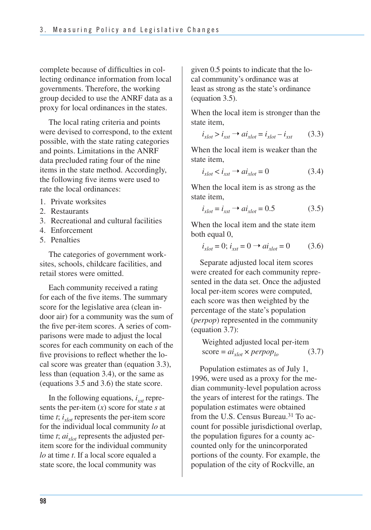complete because of difficulties in collecting ordinance information from local governments. Therefore, the working group decided to use the ANRF data as a proxy for local ordinances in the states.

The local rating criteria and points were devised to correspond, to the extent possible, with the state rating categories and points. Limitations in the ANRF data precluded rating four of the nine items in the state method. Accordingly, the following five items were used to rate the local ordinances:

- 1. Private worksites
- 2. Restaurants
- 3. Recreational and cultural facilities
- 4. Enforcement
- 5. Penalties

The categories of government worksites, schools, childcare facilities, and retail stores were omitted.

 Each community received a rating for each of the five items. The summary score for the legislative area (clean in- door air) for a community was the sum of the five per-item scores. A series of com- parisons were made to adjust the local scores for each community on each of the five provisions to reflect whether the lo- cal score was greater than (equation 3.3), less than (equation 3.4), or the same as (equations 3.5 and 3.6) the state score.

In the following equations,  $i_{xst}$  repre- sents the per-item (*x*) score for state *s* at time  $t$ ;  $i_{xlot}$  represents the per-item score for the individual local community *lo* at time  $t$ ;  $ai<sub>xlot</sub>$  represents the adjusted per- item score for the individual community *lo* at time *t*. If a local score equaled a state score, the local community was

 given 0.5 points to indicate that the lo- cal community's ordinance was at least as strong as the state's ordinance (equation 3.5).

When the local item is stronger than the state item,

$$
i_{xlot} > i_{xst} \rightarrow ai_{xlot} = i_{xlot} - i_{xst} \tag{3.3}
$$

When the local item is weaker than the state item,

$$
i_{xlot} < i_{xst} \rightarrow ai_{xlot} = 0 \tag{3.4}
$$

When the local item is as strong as the state item,

$$
i_{\mathit{xlot}} = i_{\mathit{xst}} \rightarrow ai_{\mathit{xlot}} = 0.5 \tag{3.5}
$$

When the local item and the state item both equal 0,

$$
i_{xlot} = 0; i_{xst} = 0 \rightarrow ai_{xlot} = 0 \tag{3.6}
$$

Separate adjusted local item scores were created for each community represented in the data set. Once the adjusted local per-item scores were computed, each score was then weighted by the percentage of the state's population (*perpop*) represented in the community (equation 3.7):

Weighted adjusted local per-item score = 
$$
ai_{xlot} \times perpop_{lo}
$$
 (3.7)

Population estimates as of July 1, 1996, were used as a proxy for the median community-level population across the years of interest for the ratings. The population estimates were obtained from the U.S. Census Bureau.<sup>31</sup> To account for possible jurisdictional overlap, the population figures for a county accounted only for the unincorporated portions of the county. For example, the population of the city of Rockville, an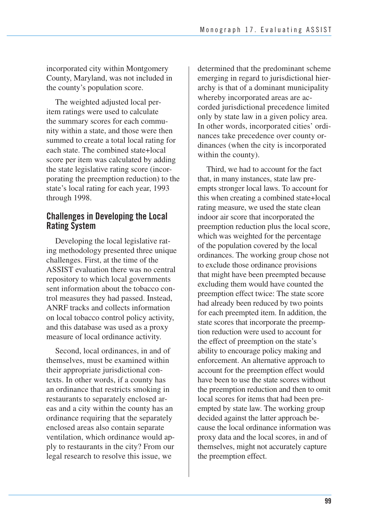incorporated city within Montgomery County, Maryland, was not included in the county's population score.

The weighted adjusted local peritem ratings were used to calculate the summary scores for each community within a state, and those were then summed to create a total local rating for each state. The combined state+local score per item was calculated by adding the state legislative rating score (incorporating the preemption reduction) to the state's local rating for each year, 1993 through 1998.

### **Challenges in Developing the Local Rating System**

Developing the local legislative rating methodology presented three unique challenges. First, at the time of the ASSIST evaluation there was no central repository to which local governments sent information about the tobacco control measures they had passed. Instead, ANRF tracks and collects information on local tobacco control policy activity, and this database was used as a proxy measure of local ordinance activity.

 Second, local ordinances, in and of themselves, must be examined within their appropriate jurisdictional con- texts. In other words, if a county has an ordinance that restricts smoking in restaurants to separately enclosed ar- eas and a city within the county has an ordinance requiring that the separately enclosed areas also contain separate ventilation, which ordinance would ap- ply to restaurants in the city? From our legal research to resolve this issue, we

 determined that the predominant scheme emerging in regard to jurisdictional hier- archy is that of a dominant municipality whereby incorporated areas are ac- corded jurisdictional precedence limited only by state law in a given policy area. In other words, incorporated cities' ordi- nances take precedence over county or- dinances (when the city is incorporated within the county).

 Third, we had to account for the fact that, in many instances, state law pre- empts stronger local laws. To account for this when creating a combined state+local rating measure, we used the state clean indoor air score that incorporated the preemption reduction plus the local score, which was weighted for the percentage of the population covered by the local ordinances. The working group chose not to exclude those ordinance provisions that might have been preempted because excluding them would have counted the preemption effect twice: The state score had already been reduced by two points for each preempted item. In addition, the state scores that incorporate the preemp tion reduction were used to account for the effect of preemption on the state's ability to encourage policy making and enforcement. An alternative approach to account for the preemption effect would have been to use the state scores without the preemption reduction and then to omit local scores for items that had been pre- empted by state law. The working group decided against the latter approach be- cause the local ordinance information was proxy data and the local scores, in and of themselves, might not accurately capture the preemption effect.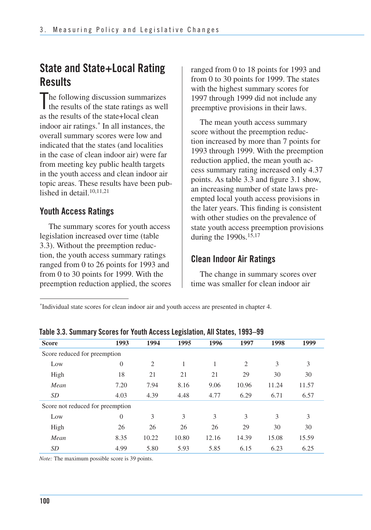## **State and State+Local Rating Results**

The following discussion summarizes<br>the results of the state ratings as well the results of the state ratings as well as the results of the state+local clean indoor air ratings.<sup>\*</sup> In all instances, the overall summary scores were low and indicated that the states (and localities in the case of clean indoor air) were far from meeting key public health targets in the youth access and clean indoor air topic areas. These results have been published in detail  $10,11,21$ 

### **Youth Access Ratings**

The summary scores for youth access legislation increased over time (table 3.3). Without the preemption reduction, the youth access summary ratings ranged from 0 to 26 points for 1993 and from 0 to 30 points for 1999. With the preemption reduction applied, the scores ranged from 0 to 18 points for 1993 and from 0 to 30 points for 1999. The states with the highest summary scores for 1997 through 1999 did not include any preemptive provisions in their laws.

The mean youth access summary score without the preemption reduction increased by more than 7 points for 1993 through 1999. With the preemption reduction applied, the mean youth access summary rating increased only 4.37 points. As table 3.3 and figure 3.1 show, an increasing number of state laws preempted local youth access provisions in the later years. This finding is consistent with other studies on the prevalence of state youth access preemption provisions during the  $1990s$ ,  $15,17$ 

### **Clean Indoor Air Ratings**

The change in summary scores over time was smaller for clean indoor air

Individual state scores for clean indoor air and youth access are presented in chapter 4.

| <u>rabiu o.o. odinniai į oubrus ror rodui August Lugisiaubii, An otatus, rudo–uo</u> |                |       |       |       |                |       |       |  |  |
|--------------------------------------------------------------------------------------|----------------|-------|-------|-------|----------------|-------|-------|--|--|
| <b>Score</b>                                                                         | 1993           | 1994  | 1995  | 1996  | 1997           | 1998  | 1999  |  |  |
| Score reduced for preemption                                                         |                |       |       |       |                |       |       |  |  |
| Low                                                                                  | $\overline{0}$ | 2     |       | 1     | $\overline{2}$ | 3     | 3     |  |  |
| High                                                                                 | 18             | 21    | 21    | 21    | 29             | 30    | 30    |  |  |
| Mean                                                                                 | 7.20           | 7.94  | 8.16  | 9.06  | 10.96          | 11.24 | 11.57 |  |  |
| SD                                                                                   | 4.03           | 4.39  | 4.48  | 4.77  | 6.29           | 6.71  | 6.57  |  |  |
| Score not reduced for preemption                                                     |                |       |       |       |                |       |       |  |  |
| Low                                                                                  | $\overline{0}$ | 3     | 3     | 3     | 3              | 3     | 3     |  |  |
| High                                                                                 | 26             | 26    | 26    | 26    | 29             | 30    | 30    |  |  |
| Mean                                                                                 | 8.35           | 10.22 | 10.80 | 12.16 | 14.39          | 15.08 | 15.59 |  |  |
| <i>SD</i>                                                                            | 4.99           | 5.80  | 5.93  | 5.85  | 6.15           | 6.23  | 6.25  |  |  |

**Table 3.3. Summary Scores for Youth Access Legislation, All States, 1993–99** 

*Note:* The maximum possible score is 39 points.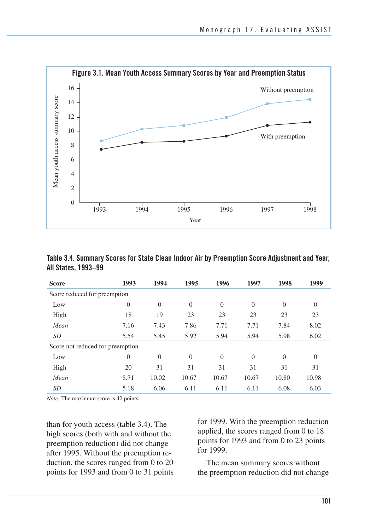

**Table 3.4. Summary Scores for State Clean Indoor Air by Preemption Score Adjustment and Year, All States, 1993–99** 

| <b>Score</b>                     | 1993           | 1994           | 1995     | 1996           | 1997           | 1998           | 1999           |
|----------------------------------|----------------|----------------|----------|----------------|----------------|----------------|----------------|
| Score reduced for preemption     |                |                |          |                |                |                |                |
| Low                              | $\overline{0}$ | $\overline{0}$ | $\theta$ | $\overline{0}$ | $\overline{0}$ | $\overline{0}$ | $\overline{0}$ |
| High                             | 18             | 19             | 23       | 23             | 23             | 23             | 23             |
| Mean                             | 7.16           | 7.43           | 7.86     | 7.71           | 7.71           | 7.84           | 8.02           |
| <i>SD</i>                        | 5.54           | 5.45           | 5.92     | 5.94           | 5.94           | 5.98           | 6.02           |
| Score not reduced for preemption |                |                |          |                |                |                |                |
| Low                              | $\Omega$       | $\Omega$       | $\Omega$ | $\overline{0}$ | $\overline{0}$ | $\Omega$       | $\theta$       |
| High                             | 20             | 31             | 31       | 31             | 31             | 31             | 31             |
| Mean                             | 8.71           | 10.02          | 10.67    | 10.67          | 10.67          | 10.80          | 10.98          |
| <i>SD</i>                        | 5.18           | 6.06           | 6.11     | 6.11           | 6.11           | 6.08           | 6.03           |

*Note:* The maximum score is 42 points.

than for youth access (table 3.4). The high scores (both with and without the preemption reduction) did not change after 1995. Without the preemption reduction, the scores ranged from 0 to 20 points for 1993 and from 0 to 31 points

for 1999. With the preemption reduction applied, the scores ranged from 0 to 18 points for 1993 and from 0 to 23 points for 1999.

The mean summary scores without the preemption reduction did not change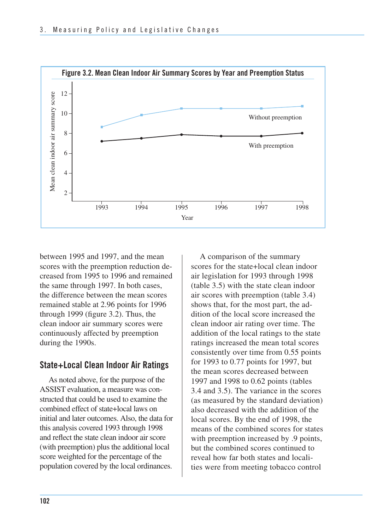

between 1995 and 1997, and the mean scores with the preemption reduction decreased from 1995 to 1996 and remained the same through 1997. In both cases, the difference between the mean scores remained stable at 2.96 points for 1996 through 1999 (figure 3.2). Thus, the clean indoor air summary scores were continuously affected by preemption during the 1990s.

### **State+Local Clean Indoor Air Ratings**

 As noted above, for the purpose of the ASSIST evaluation, a measure was con- structed that could be used to examine the combined effect of state+local laws on initial and later outcomes. Also, the data for this analysis covered 1993 through 1998 and reflect the state clean indoor air score (with preemption) plus the additional local score weighted for the percentage of the population covered by the local ordinances.

 A comparison of the summary scores for the state+local clean indoor air legislation for 1993 through 1998 (table 3.5) with the state clean indoor air scores with preemption (table 3.4) shows that, for the most part, the ad- dition of the local score increased the clean indoor air rating over time. The addition of the local ratings to the state ratings increased the mean total scores consistently over time from 0.55 points for 1993 to 0.77 points for 1997, but the mean scores decreased between 1997 and 1998 to 0.62 points (tables 3.4 and 3.5). The variance in the scores (as measured by the standard deviation) also decreased with the addition of the local scores. By the end of 1998, the means of the combined scores for states with preemption increased by .9 points, but the combined scores continued to reveal how far both states and locali-ties were from meeting tobacco control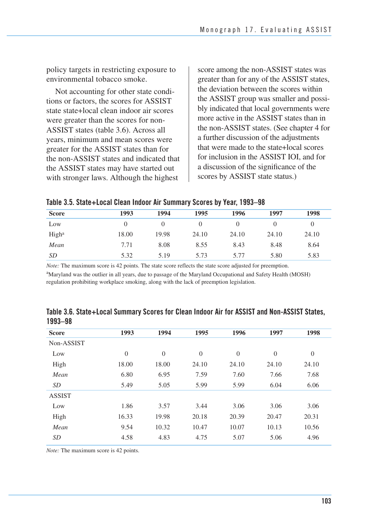policy targets in restricting exposure to environmental tobacco smoke.

Not accounting for other state conditions or factors, the scores for ASSIST state state+local clean indoor air scores were greater than the scores for non-ASSIST states (table 3.6). Across all years, minimum and mean scores were greater for the ASSIST states than for the non-ASSIST states and indicated that the ASSIST states may have started out with stronger laws. Although the highest

 score among the non-ASSIST states was greater than for any of the ASSIST states, the deviation between the scores within the ASSIST group was smaller and possi- bly indicated that local governments were more active in the ASSIST states than in the non-ASSIST states. (See chapter 4 for a further discussion of the adjustments that were made to the state+local scores for inclusion in the ASSIST IOI, and for a discussion of the significance of the scores by ASSIST state status.)

|  |  |  |  |  | Table 3.5. State+Local Clean Indoor Air Summary Scores by Year, 1993–98 |
|--|--|--|--|--|-------------------------------------------------------------------------|
|--|--|--|--|--|-------------------------------------------------------------------------|

| <b>Score</b>      | 1993  | 1994  | 1995  | 1996  | 1997  | 1998     |
|-------------------|-------|-------|-------|-------|-------|----------|
| Low               |       |       |       | 0     |       | $\theta$ |
| High <sup>a</sup> | 18.00 | 19.98 | 24.10 | 24.10 | 24.10 | 24.10    |
| Mean              | 7.71  | 8.08  | 8.55  | 8.43  | 8.48  | 8.64     |
| <i>SD</i>         | 5.32  | 5.19  | 5.73  | 5.77  | 5.80  | 5.83     |

*Note:* The maximum score is 42 points. The state score reflects the state score adjusted for preemption.

<sup>a</sup>Maryland was the outlier in all years, due to passage of the Maryland Occupational and Safety Health (MOSH) regulation prohibiting workplace smoking, along with the lack of preemption legislation.

| <b>Score</b>  | 1993     | 1994           | 1995     | 1996     | 1997     | 1998         |
|---------------|----------|----------------|----------|----------|----------|--------------|
| Non-ASSIST    |          |                |          |          |          |              |
| Low           | $\theta$ | $\overline{0}$ | $\theta$ | $\theta$ | $\theta$ | $\mathbf{0}$ |
| High          | 18.00    | 18.00          | 24.10    | 24.10    | 24.10    | 24.10        |
| Mean          | 6.80     | 6.95           | 7.59     | 7.60     | 7.66     | 7.68         |
| SD            | 5.49     | 5.05           | 5.99     | 5.99     | 6.04     | 6.06         |
| <b>ASSIST</b> |          |                |          |          |          |              |
| Low           | 1.86     | 3.57           | 3.44     | 3.06     | 3.06     | 3.06         |
| High          | 16.33    | 19.98          | 20.18    | 20.39    | 20.47    | 20.31        |
| Mean          | 9.54     | 10.32          | 10.47    | 10.07    | 10.13    | 10.56        |
| SD            | 4.58     | 4.83           | 4.75     | 5.07     | 5.06     | 4.96         |

**Table 3.6. State+Local Summary Scores for Clean Indoor Air for ASSIST and Non-ASSIST States, 1993–98** 

*Note:* The maximum score is 42 points.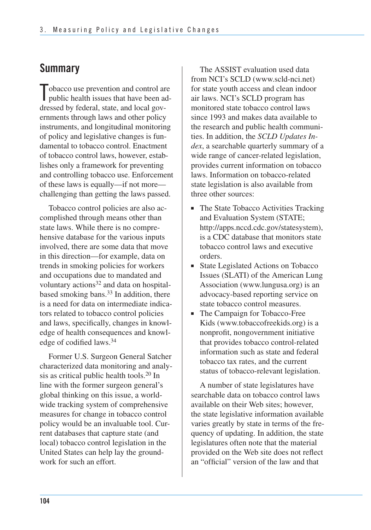## **Summary**

Tobacco use prevention and control are<br>public health issues that have been ad- public health issues that have been ad- dressed by federal, state, and local gov- ernments through laws and other policy instruments, and longitudinal monitoring of policy and legislative changes is fun- damental to tobacco control. Enactment of tobacco control laws, however, estab- lishes only a framework for preventing and controlling tobacco use. Enforcement of these laws is equally—if not more— challenging than getting the laws passed.

Tobacco control policies are also accomplished through means other than state laws. While there is no comprehensive database for the various inputs involved, there are some data that move in this direction—for example, data on trends in smoking policies for workers and occupations due to mandated and voluntary actions<sup>32</sup> and data on hospitalbased smoking bans.<sup>33</sup> In addition, there is a need for data on intermediate indicators related to tobacco control policies and laws, specifically, changes in knowledge of health consequences and knowledge of codified laws.34

Former U.S. Surgeon General Satcher characterized data monitoring and analysis as critical public health tools.20 In line with the former surgeon general's global thinking on this issue, a worldwide tracking system of comprehensive measures for change in tobacco control policy would be an invaluable tool. Current databases that capture state (and local) tobacco control legislation in the United States can help lay the groundwork for such an effort.

The ASSIST evaluation used data from NCI's SCLD (www.scld-nci.net) for state youth access and clean indoor air laws. NCI's SCLD program has monitored state tobacco control laws since 1993 and makes data available to the research and public health communities. In addition, the *SCLD Updates Index*, a searchable quarterly summary of a wide range of cancer-related legislation, provides current information on tobacco laws. Information on tobacco-related state legislation is also available from three other sources:

- The State Tobacco Activities Tracking and Evaluation System (STATE; http://apps.nccd.cdc.gov/statesystem), is a CDC database that monitors state tobacco control laws and executive orders.
- State Legislated Actions on Tobacco Issues (SLATI) of the American Lung Association (www.lungusa.org) is an advocacy-based reporting service on state tobacco control measures.
- The Campaign for Tobacco-Free Kids (www.tobaccofreekids.org) is a nonprofit, nongovernment initiative that provides tobacco control-related information such as state and federal tobacco tax rates, and the current status of tobacco-relevant legislation.

A number of state legislatures have searchable data on tobacco control laws available on their Web sites; however, the state legislative information available varies greatly by state in terms of the frequency of updating. In addition, the state legislatures often note that the material provided on the Web site does not reflect an "official" version of the law and that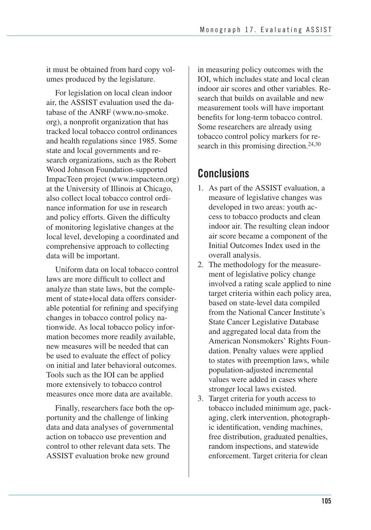it must be obtained from hard copy volumes produced by the legislature.

For legislation on local clean indoor air, the ASSIST evaluation used the database of the ANRF (www.no-smoke. org), a nonprofit organization that has tracked local tobacco control ordinances and health regulations since 1985. Some state and local governments and research organizations, such as the Robert Wood Johnson Foundation-supported ImpacTeen project (www.impacteen.org) at the University of Illinois at Chicago, also collect local tobacco control ordinance information for use in research and policy efforts. Given the difficulty of monitoring legislative changes at the local level, developing a coordinated and comprehensive approach to collecting data will be important.

Uniform data on local tobacco control laws are more difficult to collect and analyze than state laws, but the complement of state+local data offers considerable potential for refining and specifying changes in tobacco control policy nationwide. As local tobacco policy information becomes more readily available, new measures will be needed that can be used to evaluate the effect of policy on initial and later behavioral outcomes. Tools such as the IOI can be applied more extensively to tobacco control measures once more data are available.

Finally, researchers face both the opportunity and the challenge of linking data and data analyses of governmental action on tobacco use prevention and control to other relevant data sets. The ASSIST evaluation broke new ground

in measuring policy outcomes with the IOI, which includes state and local clean indoor air scores and other variables. Research that builds on available and new measurement tools will have important benefits for long-term tobacco control. Some researchers are already using tobacco control policy markers for research in this promising direction.<sup>24,30</sup>

## **Conclusions**

- 1. As part of the ASSIST evaluation, a measure of legislative changes was developed in two areas: youth access to tobacco products and clean indoor air. The resulting clean indoor air score became a component of the Initial Outcomes Index used in the overall analysis.
- 2. The methodology for the measurement of legislative policy change involved a rating scale applied to nine target criteria within each policy area, based on state-level data compiled from the National Cancer Institute's State Cancer Legislative Database and aggregated local data from the American Nonsmokers' Rights Foundation. Penalty values were applied to states with preemption laws, while population-adjusted incremental values were added in cases where stronger local laws existed.
- 3. Target criteria for youth access to tobacco included minimum age, pack- aging, clerk intervention, photograph- ic identification, vending machines, free distribution, graduated penalties, random inspections, and statewide enforcement. Target criteria for clean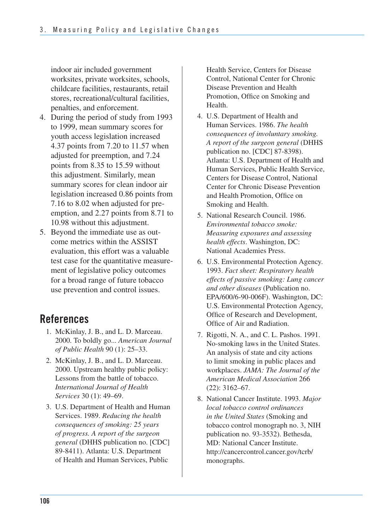indoor air included government worksites, private worksites, schools, childcare facilities, restaurants, retail penalties, and enforcement. stores, recreational/cultural facilities,

- 4. During the period of study from 1993 to 1999, mean summary scores for youth access legislation increased 4.37 points from 7.20 to 11.57 when adjusted for preemption, and 7.24 points from 8.35 to 15.59 without this adjustment. Similarly, mean summary scores for clean indoor air legislation increased 0.86 points from 7.16 to 8.02 when adjusted for preemption, and 2.27 points from 8.71 to 10.98 without this adjustment.
- 5. Beyond the immediate use as outcome metrics within the ASSIST evaluation, this effort was a valuable test case for the quantitative measurement of legislative policy outcomes for a broad range of future tobacco use prevention and control issues.

## **References**

- 1. McKinlay, J. B., and L. D. Marceau. 2000. To boldly go... *American Journal of Public Health* 90 (1): 25–33.
- 2. McKinlay, J. B., and L. D. Marceau. 2000. Upstream healthy public policy: Lessons from the battle of tobacco. *International Journal of Health Services* 30 (1): 49–69.
- 3. U.S. Department of Health and Human Services. 1989. *Reducing the health consequences of smoking: 25 years of progress. A report of the surgeon general* (DHHS publication no. [CDC] 89-8411). Atlanta: U.S. Department of Health and Human Services, Public

Health Service, Centers for Disease Control, National Center for Chronic Disease Prevention and Health Promotion, Office on Smoking and Health.

- 4. U.S. Department of Health and Human Services. 1986. *The health consequences of involuntary smoking. A report of the surgeon general* (DHHS publication no. [CDC] 87-8398). Atlanta: U.S. Department of Health and Human Services, Public Health Service, Centers for Disease Control, National Center for Chronic Disease Prevention and Health Promotion, Office on Smoking and Health.
- 5. National Research Council. 1986. *Environmental tobacco smoke: Measuring exposures and assessing health effects*. Washington, DC: National Academies Press.
- 6. U.S. Environmental Protection Agency. 1993. *Fact sheet: Respiratory health effects of passive smoking: Lung cancer and other diseases* (Publication no. EPA/600/6-90-006F). Washington, DC: U.S. Environmental Protection Agency, Office of Research and Development, Office of Air and Radiation.
- 7. Rigotti, N. A., and C. L. Pashos. 1991. No-smoking laws in the United States. An analysis of state and city actions to limit smoking in public places and workplaces. *JAMA: The Journal of the American Medical Association* 266 (22): 3162–67.
- 8. National Cancer Institute. 1993. *Major local tobacco control ordinances in the United States* (Smoking and tobacco control monograph no. 3, NIH publication no. 93-3532). Bethesda, MD: National Cancer Institute. http://cancercontrol.cancer.gov/tcrb/ monographs.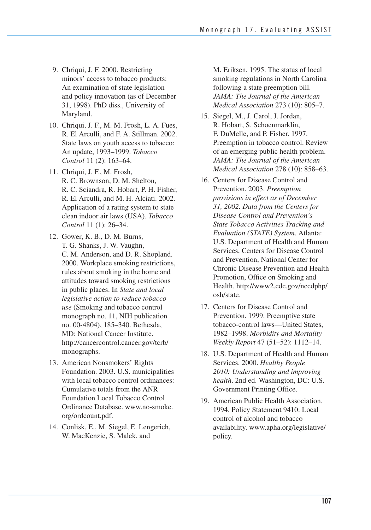- 9. Chriqui, J. F. 2000. Restricting minors' access to tobacco products: An examination of state legislation and policy innovation (as of December 31, 1998). PhD diss., University of Maryland.
- 10. Chriqui, J. F., M. M. Frosh, L. A. Fues, R. El Arculli, and F. A. Stillman. 2002. State laws on youth access to tobacco: An update, 1993–1999. *Tobacco Control* 11 (2): 163–64.
- 11. Chriqui, J. F., M. Frosh, R. C. Brownson, D. M. Shelton, R. C. Sciandra, R. Hobart, P. H. Fisher, R. El Arculli, and M. H. Alciati. 2002. Application of a rating system to state clean indoor air laws (USA). *Tobacco Control* 11 (1): 26–34.
- 12. Gower, K. B., D. M. Burns, T. G. Shanks, J. W. Vaughn, C. M. Anderson, and D. R. Shopland. 2000. Workplace smoking restrictions, rules about smoking in the home and attitudes toward smoking restrictions in public places. In *State and local legislative action to reduce tobacco use* (Smoking and tobacco control monograph no. 11, NIH publication no. 00-4804), 185–340. Bethesda, MD: National Cancer Institute. http://cancercontrol.cancer.gov/tcrb/ monographs.
- 13. American Nonsmokers' Rights Foundation. 2003. U.S. municipalities with local tobacco control ordinances: Cumulative totals from the ANR Foundation Local Tobacco Control Ordinance Database. www.no-smoke. org/ordcount.pdf.
- 14. Conlisk, E., M. Siegel, E. Lengerich, W. MacKenzie, S. Malek, and

M. Eriksen. 1995. The status of local smoking regulations in North Carolina following a state preemption bill. *JAMA: The Journal of the American Medical Association* 273 (10): 805–7.

- 15. Siegel, M., J. Carol, J. Jordan, R. Hobart, S. Schoenmarklin, F. DuMelle, and P. Fisher. 1997. Preemption in tobacco control. Review of an emerging public health problem. *JAMA: The Journal of the American Medical Association* 278 (10): 858–63.
- 16. Centers for Disease Control and Prevention. 2003. *Preemption provisions in effect as of December 31, 2002. Data from the Centers for Disease Control and Prevention's State Tobacco Activities Tracking and Evaluation (STATE) System*. Atlanta: U.S. Department of Health and Human Services, Centers for Disease Control and Prevention, National Center for Chronic Disease Prevention and Health Promotion, Office on Smoking and Health. http://www2.cdc.gov/nccdphp/ osh/state.
- 17. Centers for Disease Control and Prevention. 1999. Preemptive state tobacco-control laws—United States, 1982–1998. *Morbidity and Mortality Weekly Report* 47 (51–52): 1112–14.
- 18. U.S. Department of Health and Human Services. 2000. *Healthy People 2010: Understanding and improving health*. 2nd ed. Washington, DC: U.S. Government Printing Office.
- 19. American Public Health Association. 1994. Policy Statement 9410: Local control of alcohol and tobacco availability. www.apha.org/legislative/ policy.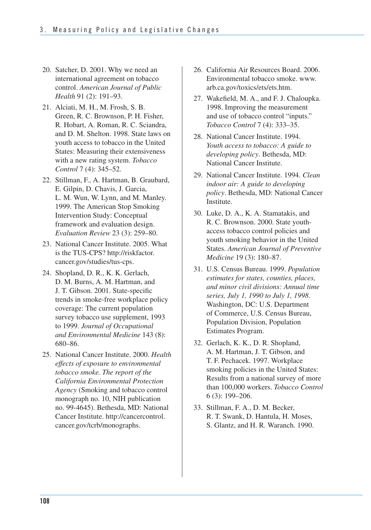- 20. Satcher, D. 2001. Why we need an international agreement on tobacco control. *American Journal of Public Health* 91 (2): 191–93.
- R. Hobart, A. Roman, R. C. Sciandra, 21. Alciati, M. H., M. Frosh, S. B. Green, R. C. Brownson, P. H. Fisher, and D. M. Shelton. 1998. State laws on youth access to tobacco in the United States: Measuring their extensiveness with a new rating system. *Tobacco Control* 7 (4): 345–52.
- 22. Stillman, F., A. Hartman, B. Graubard, E. Gilpin, D. Chavis, J. Garcia, L. M. Wun, W. Lynn, and M. Manley. 1999. The American Stop Smoking Intervention Study: Conceptual framework and evaluation design. *Evaluation Review* 23 (3): 259–80.
- 23. National Cancer Institute. 2005. What is the TUS-CPS? http://riskfactor. cancer.gov/studies/tus-cps.
- 24. Shopland, D. R., K. K. Gerlach, D. M. Burns, A. M. Hartman, and J. T. Gibson. 2001. State-specific trends in smoke-free workplace policy coverage: The current population survey tobacco use supplement, 1993 to 1999. *Journal of Occupational and Environmental Medicine* 143 (8): 680–86.
- 25. National Cancer Institute. 2000. *Health effects of exposure to environmental tobacco smoke. The report of the California Environmental Protection Agency* (Smoking and tobacco control monograph no. 10, NIH publication no. 99-4645). Bethesda, MD: National Cancer Institute. http://cancercontrol. cancer.gov/tcrb/monographs.
- 26. California Air Resources Board. 2006. Environmental tobacco smoke. www. arb.ca.gov/toxics/ets/ets.htm.
- 27. Wakefield, M. A., and F. J. Chaloupka. 1998. Improving the measurement and use of tobacco control "inputs." *Tobacco Control* 7 (4): 333–35.
- 28. National Cancer Institute. 1994. *Youth access to tobacco: A guide to developing policy*. Bethesda, MD: National Cancer Institute.
- 29. National Cancer Institute. 1994. *Clean indoor air: A guide to developing policy*. Bethesda, MD: National Cancer Institute.
- 30. Luke, D. A., K. A. Stamatakis, and R. C. Brownson. 2000. State youthaccess tobacco control policies and youth smoking behavior in the United States. *American Journal of Preventive Medicine* 19 (3): 180–87.
- 31. U.S. Census Bureau. 1999. *Population estimates for states, counties, places, and minor civil divisions: Annual time series, July 1, 1990 to July 1, 1998*. Washington, DC: U.S. Department of Commerce, U.S. Census Bureau, Population Division, Population Estimates Program.
- 32. Gerlach, K. K., D. R. Shopland, A. M. Hartman, J. T. Gibson, and T. F. Pechacek. 1997. Workplace smoking policies in the United States: Results from a national survey of more than 100,000 workers. *Tobacco Control*  6 (3): 199–206.
- S. Glantz, and H. R. Waranch. 1990. 33. Stillman, F. A., D. M. Becker, R. T. Swank, D. Hantula, H. Moses,